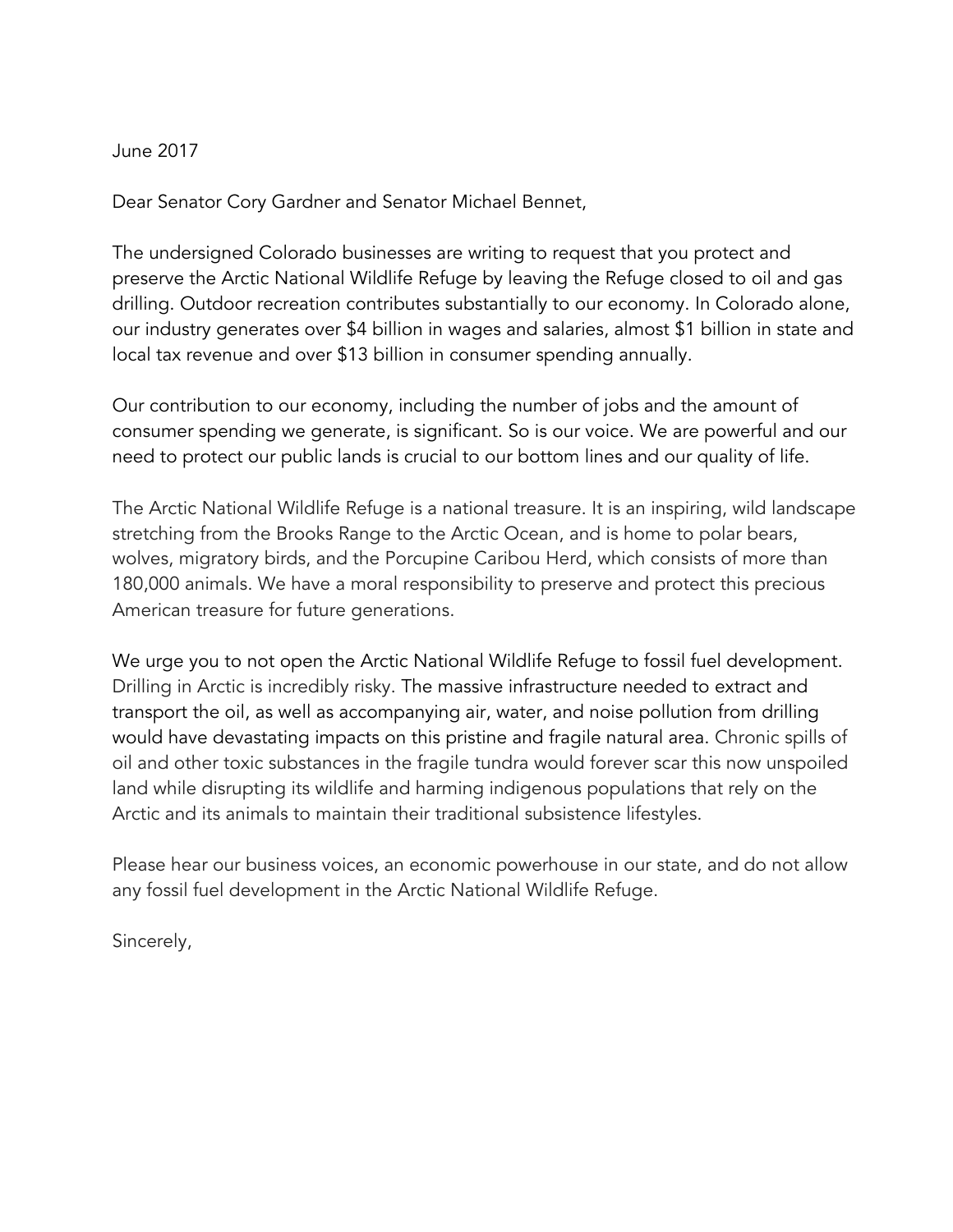## June 2017

Dear Senator Cory Gardner and Senator Michael Bennet,

The undersigned Colorado businesses are writing to request that you protect and preserve the Arctic National Wildlife Refuge by leaving the Refuge closed to oil and gas drilling. Outdoor recreation contributes substantially to our economy. In Colorado alone, our industry generates over \$4 billion in wages and salaries, almost \$1 billion in state and local tax revenue and over \$13 billion in consumer spending annually.

Our contribution to our economy, including the number of jobs and the amount of consumer spending we generate, is significant. So is our voice. We are powerful and our need to protect our public lands is crucial to our bottom lines and our quality of life.

The Arctic National Wildlife Refuge is a national treasure. It is an inspiring, wild landscape stretching from the Brooks Range to the Arctic Ocean, and is home to polar bears, wolves, migratory birds, and the Porcupine Caribou Herd, which consists of more than 180,000 animals. We have a moral responsibility to preserve and protect this precious American treasure for future generations.

We urge you to not open the Arctic National Wildlife Refuge to fossil fuel development. Drilling in Arctic is incredibly risky. The massive infrastructure needed to extract and transport the oil, as well as accompanying air, water, and noise pollution from drilling would have devastating impacts on this pristine and fragile natural area. Chronic spills of oil and other toxic substances in the fragile tundra would forever scar this now unspoiled land while disrupting its wildlife and harming indigenous populations that rely on the Arctic and its animals to maintain their traditional subsistence lifestyles.

Please hear our business voices, an economic powerhouse in our state, and do not allow any fossil fuel development in the Arctic National Wildlife Refuge.

Sincerely,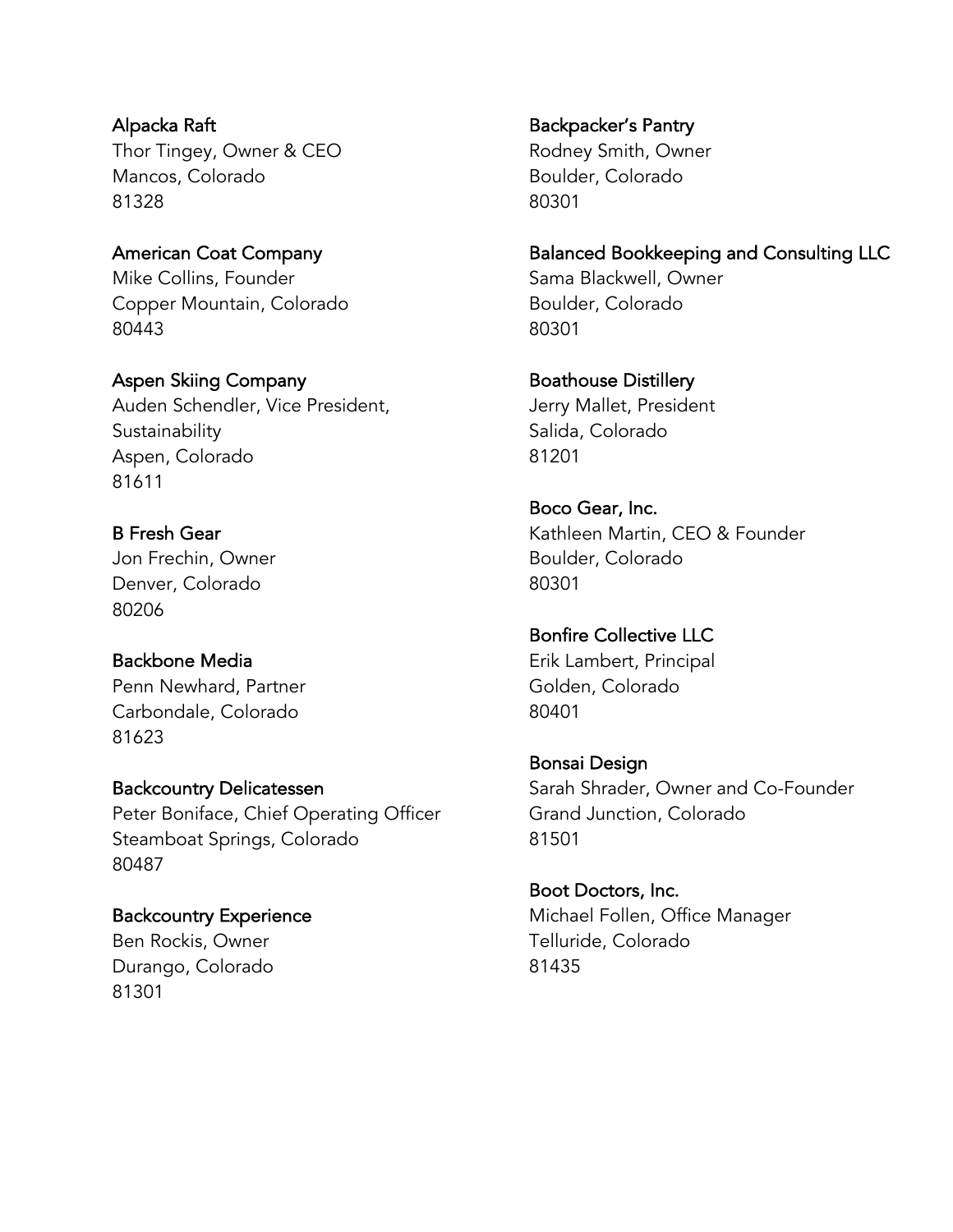Alpacka Raft Thor Tingey, Owner & CEO Mancos, Colorado 81328

American Coat Company Mike Collins, Founder Copper Mountain, Colorado 80443

Aspen Skiing Company Auden Schendler, Vice President, **Sustainability** Aspen, Colorado 81611

B Fresh Gear Jon Frechin, Owner Denver, Colorado 80206

Backbone Media Penn Newhard, Partner Carbondale, Colorado 81623

Backcountry Delicatessen Peter Boniface, Chief Operating Officer Steamboat Springs, Colorado 80487

Backcountry Experience Ben Rockis, Owner Durango, Colorado 81301

Backpacker's Pantry Rodney Smith, Owner Boulder, Colorado 80301

Balanced Bookkeeping and Consulting LLC Sama Blackwell, Owner Boulder, Colorado 80301

Boathouse Distillery Jerry Mallet, President Salida, Colorado 81201

Boco Gear, Inc. Kathleen Martin, CEO & Founder Boulder, Colorado 80301

Bonfire Collective LLC Erik Lambert, Principal Golden, Colorado 80401

Bonsai Design Sarah Shrader, Owner and Co-Founder Grand Junction, Colorado 81501

Boot Doctors, Inc. Michael Follen, Office Manager Telluride, Colorado 81435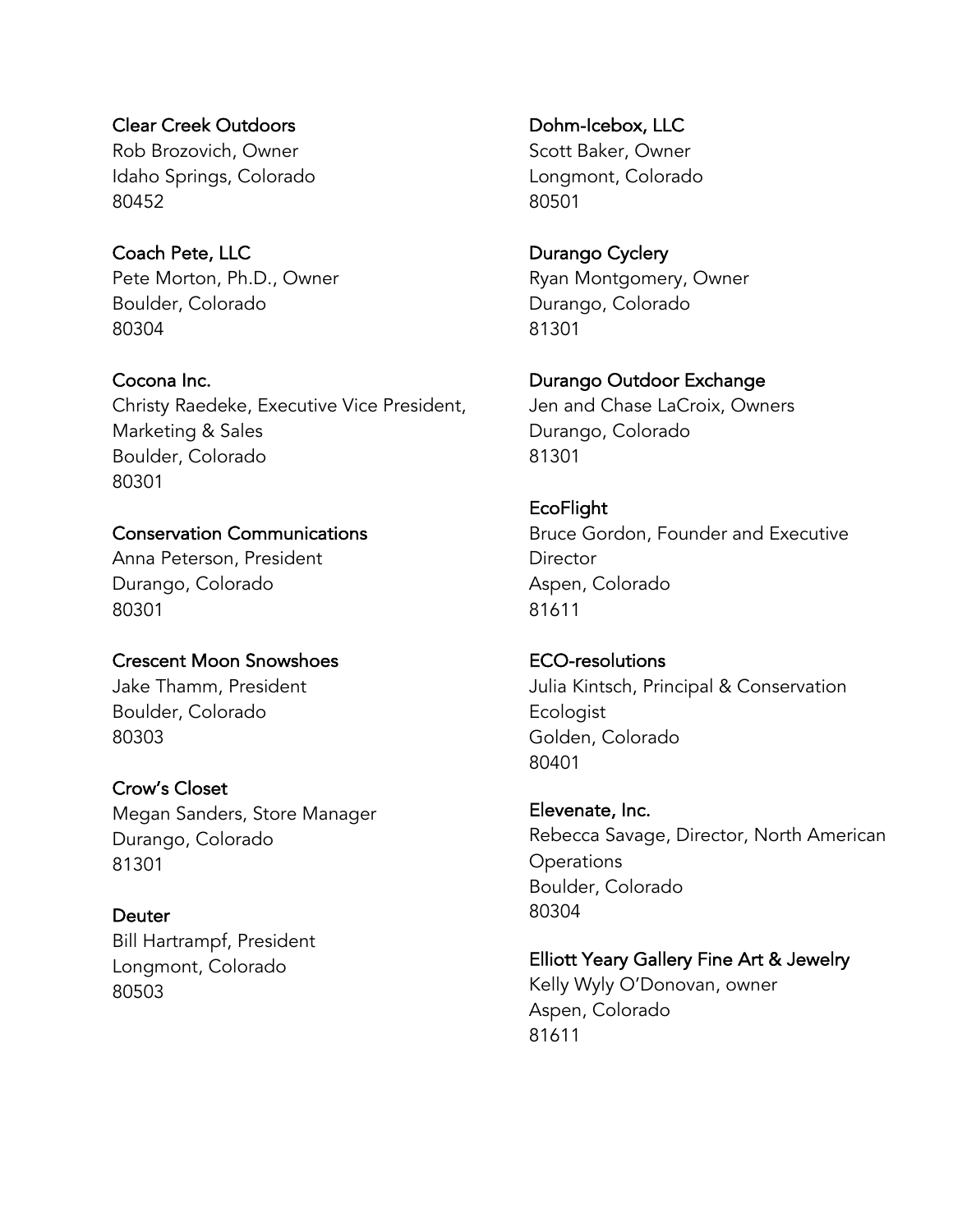Clear Creek Outdoors Rob Brozovich, Owner Idaho Springs, Colorado 80452

Coach Pete, LLC Pete Morton, Ph.D., Owner Boulder, Colorado 80304

Cocona Inc. Christy Raedeke, Executive Vice President, Marketing & Sales Boulder, Colorado 80301

Conservation Communications Anna Peterson, President Durango, Colorado 80301

Crescent Moon Snowshoes Jake Thamm, President Boulder, Colorado 80303

Crow's Closet Megan Sanders, Store Manager Durango, Colorado 81301

**Deuter** Bill Hartrampf, President Longmont, Colorado 80503

Dohm-Icebox, LLC Scott Baker, Owner Longmont, Colorado 80501

Durango Cyclery Ryan Montgomery, Owner Durango, Colorado 81301

Durango Outdoor Exchange Jen and Chase LaCroix, Owners Durango, Colorado 81301

EcoFlight Bruce Gordon, Founder and Executive **Director** Aspen, Colorado 81611

ECO-resolutions Julia Kintsch, Principal & Conservation **Ecologist** Golden, Colorado 80401

Elevenate, Inc. Rebecca Savage, Director, North American **Operations** Boulder, Colorado 80304

Elliott Yeary Gallery Fine Art & Jewelry Kelly Wyly O'Donovan, owner Aspen, Colorado 81611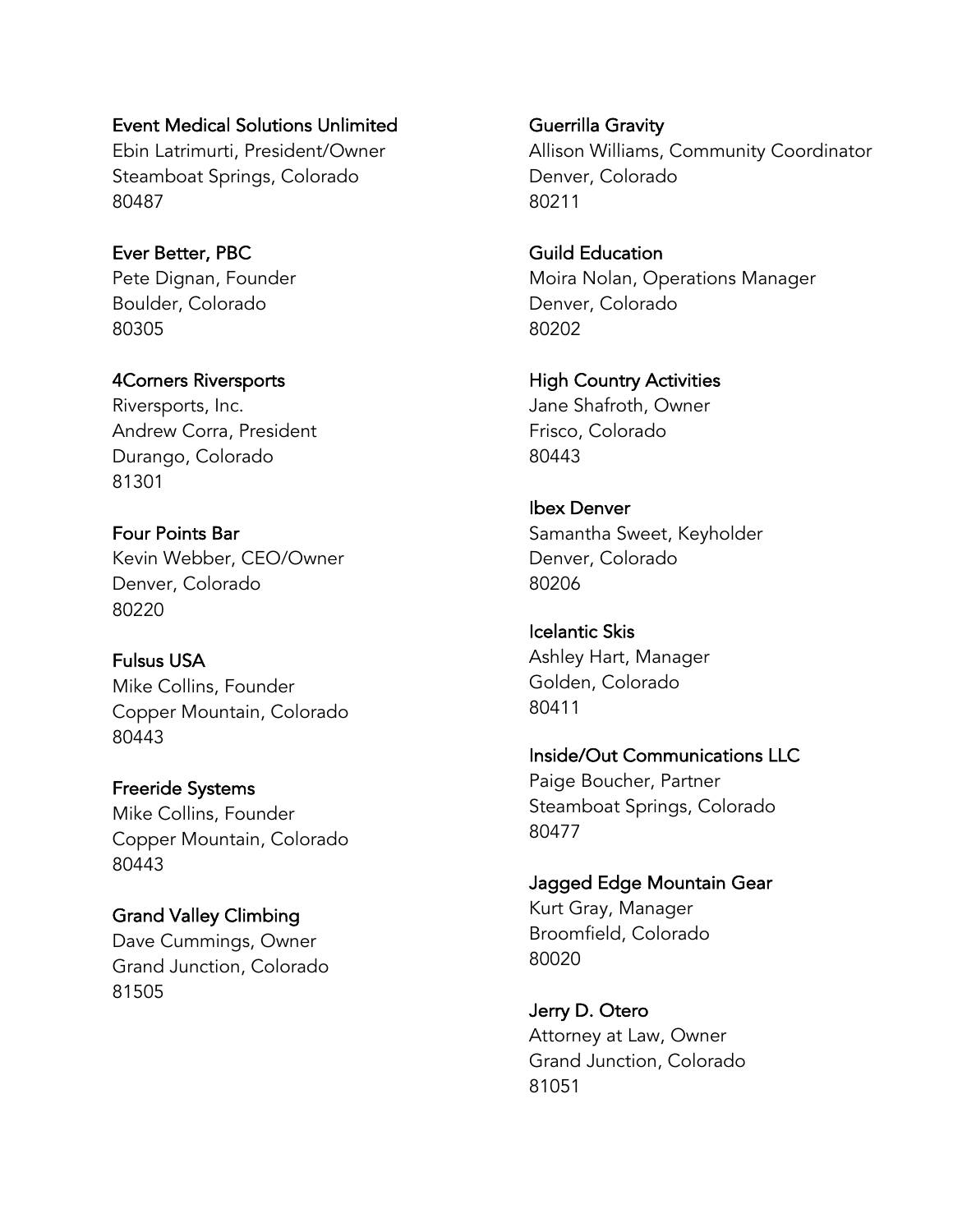Event Medical Solutions Unlimited

Ebin Latrimurti, President/Owner Steamboat Springs, Colorado 80487

Ever Better, PBC Pete Dignan, Founder Boulder, Colorado 80305

4Corners Riversports Riversports, Inc. Andrew Corra, President Durango, Colorado 81301

Four Points Bar Kevin Webber, CEO/Owner Denver, Colorado 80220

Fulsus USA Mike Collins, Founder Copper Mountain, Colorado 80443

Freeride Systems Mike Collins, Founder Copper Mountain, Colorado 80443

Grand Valley Climbing Dave Cummings, Owner Grand Junction, Colorado 81505

Guerrilla Gravity Allison Williams, Community Coordinator Denver, Colorado 80211

Guild Education Moira Nolan, Operations Manager Denver, Colorado 80202

High Country Activities Jane Shafroth, Owner Frisco, Colorado 80443

Ibex Denver Samantha Sweet, Keyholder Denver, Colorado 80206

Icelantic Skis Ashley Hart, Manager Golden, Colorado 80411

Inside/Out Communications LLC Paige Boucher, Partner Steamboat Springs, Colorado 80477

Jagged Edge Mountain Gear Kurt Gray, Manager Broomfield, Colorado 80020

Jerry D. Otero Attorney at Law, Owner Grand Junction, Colorado 81051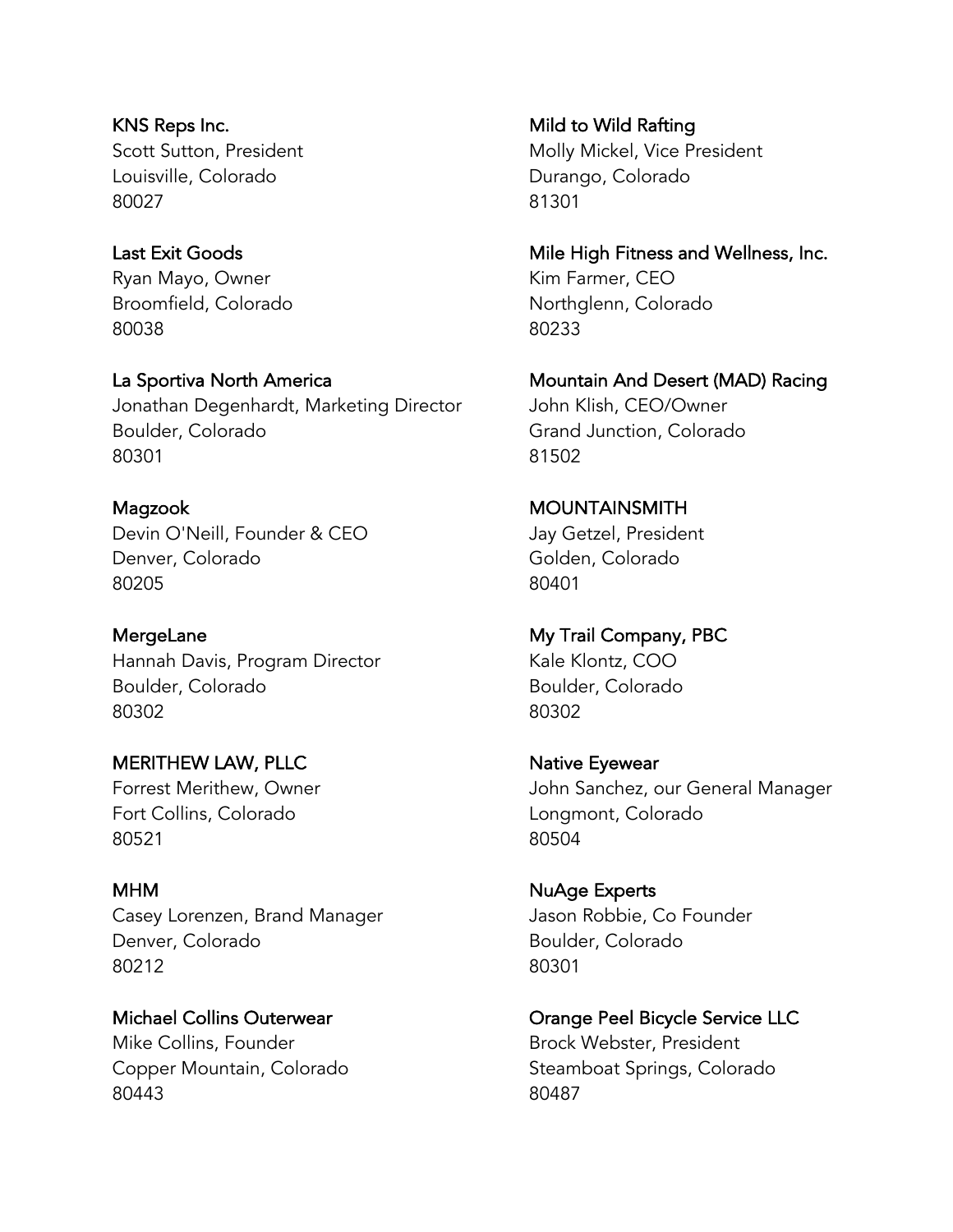KNS Reps Inc. Scott Sutton, President Louisville, Colorado 80027

Last Exit Goods Ryan Mayo, Owner Broomfield, Colorado 80038

La Sportiva North America Jonathan Degenhardt, Marketing Director Boulder, Colorado 80301

Magzook Devin O'Neill, Founder & CEO Denver, Colorado 80205

**MergeLane** Hannah Davis, Program Director Boulder, Colorado 80302

MERITHEW LAW, PLLC Forrest Merithew, Owner Fort Collins, Colorado 80521

MHM Casey Lorenzen, Brand Manager Denver, Colorado 80212

Michael Collins Outerwear Mike Collins, Founder Copper Mountain, Colorado 80443

Mild to Wild Rafting Molly Mickel, Vice President Durango, Colorado 81301

Mile High Fitness and Wellness, Inc. Kim Farmer, CEO Northglenn, Colorado 80233

Mountain And Desert (MAD) Racing John Klish, CEO/Owner Grand Junction, Colorado 81502

MOUNTAINSMITH Jay Getzel, President Golden, Colorado 80401

My Trail Company, PBC Kale Klontz, COO Boulder, Colorado 80302

Native Eyewear John Sanchez, our General Manager Longmont, Colorado 80504

NuAge Experts Jason Robbie, Co Founder Boulder, Colorado 80301

Orange Peel Bicycle Service LLC Brock Webster, President Steamboat Springs, Colorado 80487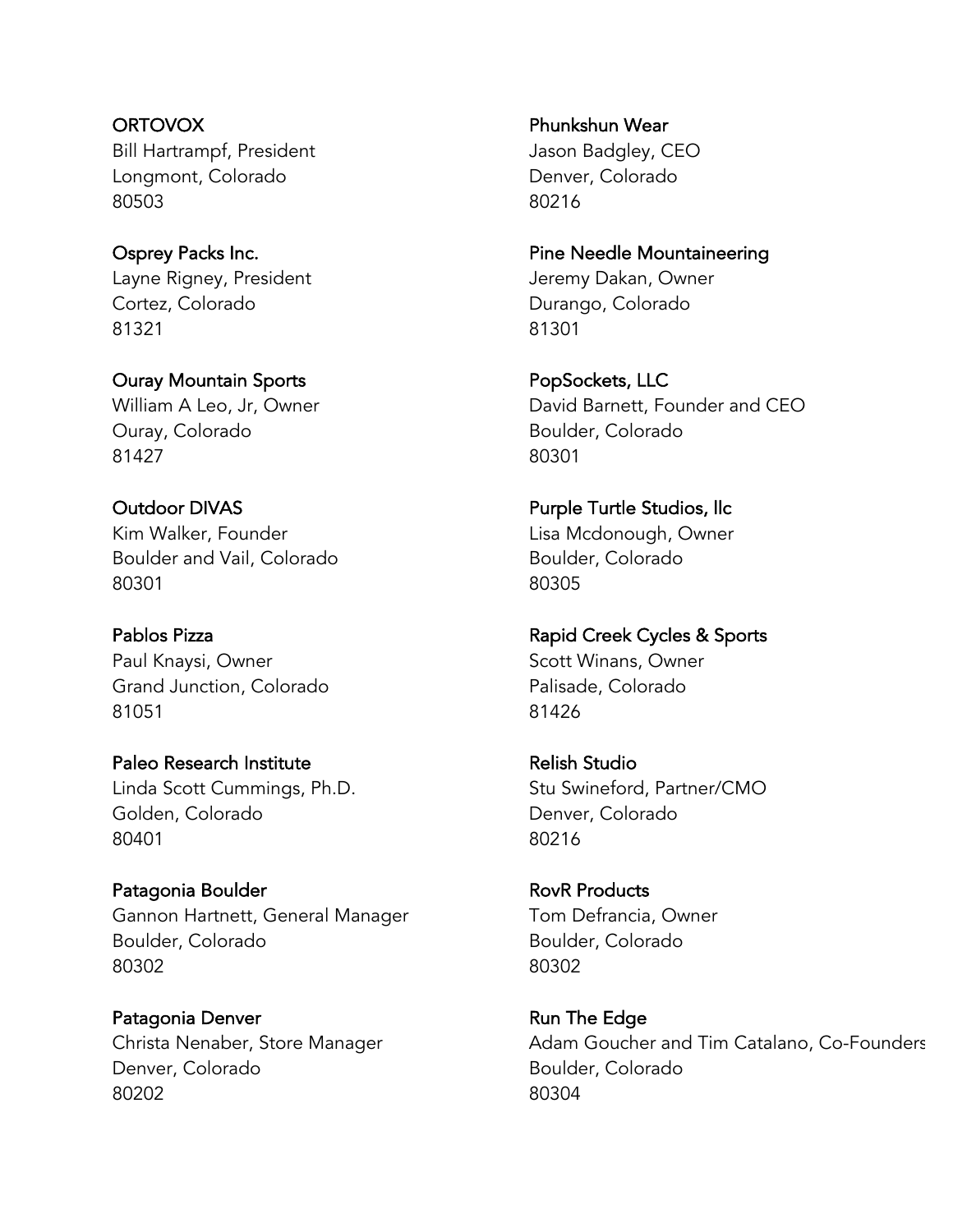**ORTOVOX** Bill Hartrampf, President Longmont, Colorado 80503

Osprey Packs Inc. Layne Rigney, President Cortez, Colorado 81321

Ouray Mountain Sports William A Leo, Jr, Owner Ouray, Colorado 81427

Outdoor DIVAS Kim Walker, Founder Boulder and Vail, Colorado 80301

Pablos Pizza Paul Knaysi, Owner Grand Junction, Colorado 81051

Paleo Research Institute Linda Scott Cummings, Ph.D. Golden, Colorado 80401

Patagonia Boulder Gannon Hartnett, General Manager Boulder, Colorado 80302

Patagonia Denver Christa Nenaber, Store Manager Denver, Colorado 80202

Phunkshun Wear Jason Badgley, CEO Denver, Colorado 80216

Pine Needle Mountaineering Jeremy Dakan, Owner Durango, Colorado 81301

PopSockets, LLC David Barnett, Founder and CEO Boulder, Colorado 80301

Purple Turtle Studios, llc Lisa Mcdonough, Owner Boulder, Colorado 80305

Rapid Creek Cycles & Sports Scott Winans, Owner Palisade, Colorado 81426

Relish Studio Stu Swineford, Partner/CMO Denver, Colorado 80216

RovR Products Tom Defrancia, Owner Boulder, Colorado 80302

Run The Edge Adam Goucher and Tim Catalano, Co-Founders Boulder, Colorado 80304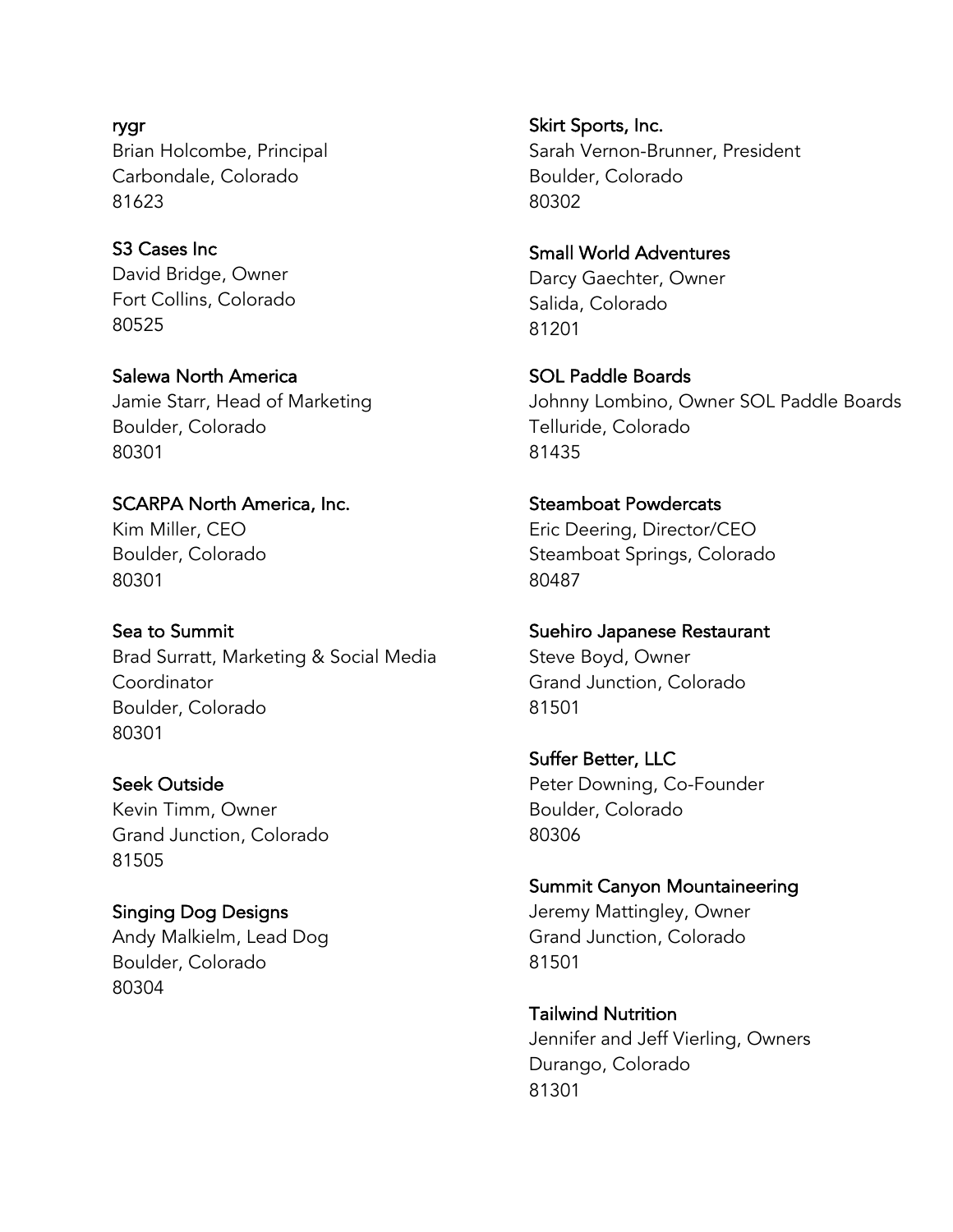rygr Brian Holcombe, Principal Carbondale, Colorado 81623

S3 Cases Inc David Bridge, Owner Fort Collins, Colorado 80525

Salewa North America Jamie Starr, Head of Marketing Boulder, Colorado 80301

SCARPA North America, Inc. Kim Miller, CEO Boulder, Colorado 80301

Sea to Summit Brad Surratt, Marketing & Social Media Coordinator Boulder, Colorado 80301

Seek Outside Kevin Timm, Owner Grand Junction, Colorado 81505

Singing Dog Designs Andy Malkielm, Lead Dog Boulder, Colorado 80304

Skirt Sports, Inc. Sarah Vernon-Brunner, President Boulder, Colorado 80302

Small World Adventures Darcy Gaechter, Owner Salida, Colorado 81201

SOL Paddle Boards Johnny Lombino, Owner SOL Paddle Boards Telluride, Colorado 81435

Steamboat Powdercats Eric Deering, Director/CEO Steamboat Springs, Colorado 80487

Suehiro Japanese Restaurant Steve Boyd, Owner Grand Junction, Colorado 81501

Suffer Better, LLC Peter Downing, Co-Founder Boulder, Colorado 80306

Summit Canyon Mountaineering Jeremy Mattingley, Owner Grand Junction, Colorado 81501

Tailwind Nutrition Jennifer and Jeff Vierling, Owners Durango, Colorado 81301